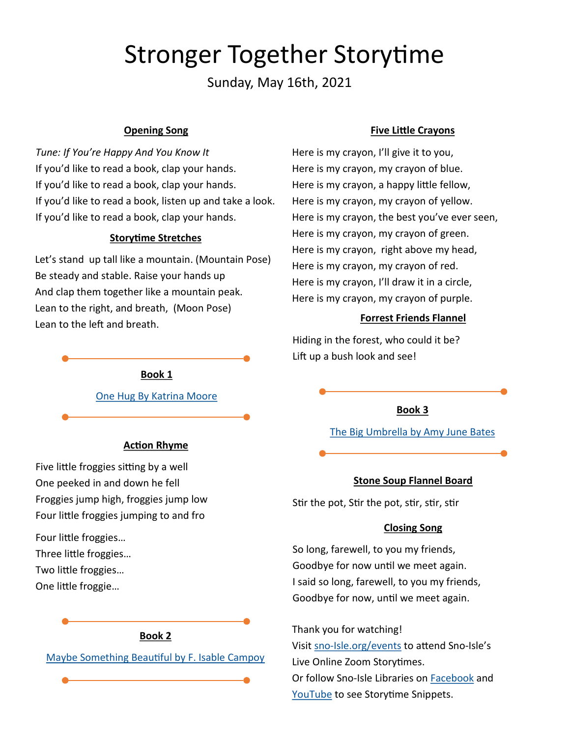# Stronger Together Storytime

Sunday, May 16th, 2021

## **Opening Song**

*Tune: If You're Happy And You Know It* If you'd like to read a book, clap your hands. If you'd like to read a book, clap your hands. If you'd like to read a book, listen up and take a look. If you'd like to read a book, clap your hands.

#### **Storytime Stretches**

Let's stand up tall like a mountain. (Mountain Pose) Be steady and stable. Raise your hands up And clap them together like a mountain peak. Lean to the right, and breath, (Moon Pose) Lean to the left and breath.

#### **Book 1**

[One Hug By Katrina Moore](https://sno-isle.bibliocommons.com/item/show/1921279121)

#### **Action Rhyme**

Five little froggies sitting by a well One peeked in and down he fell Froggies jump high, froggies jump low Four little froggies jumping to and fro

Four little froggies… Three little froggies… Two little froggies…

One little froggie…



#### **Five Little Crayons**

Here is my crayon, I'll give it to you, Here is my crayon, my crayon of blue. Here is my crayon, a happy little fellow, Here is my crayon, my crayon of yellow. Here is my crayon, the best you've ever seen, Here is my crayon, my crayon of green. Here is my crayon, right above my head, Here is my crayon, my crayon of red. Here is my crayon, I'll draw it in a circle, Here is my crayon, my crayon of purple.

## **Forrest Friends Flannel**

Hiding in the forest, who could it be? Lift up a bush look and see!

#### **Book 3**

[The Big Umbrella by Amy June Bates](https://sno-isle.bibliocommons.com/item/show/1669358121)

#### **Stone Soup Flannel Board**

Stir the pot, Stir the pot, stir, stir, stir

## **Closing Song**

So long, farewell, to you my friends, Goodbye for now until we meet again. I said so long, farewell, to you my friends, Goodbye for now, until we meet again.

Thank you for watching! Visit sno-[Isle.org/events](sno-Isle.org/) to attend Sno-Isle's Live Online Zoom Storytimes. Or follow Sno-Isle Libraries on [Facebook](https://www.facebook.com/watch/14152425978/230717137497500/) and [YouTube](https://www.youtube.com/playlist?list=PLlaIcE1oC887Tk1OEaDwYvLZ5NRGF8M8H) to see Storytime Snippets.